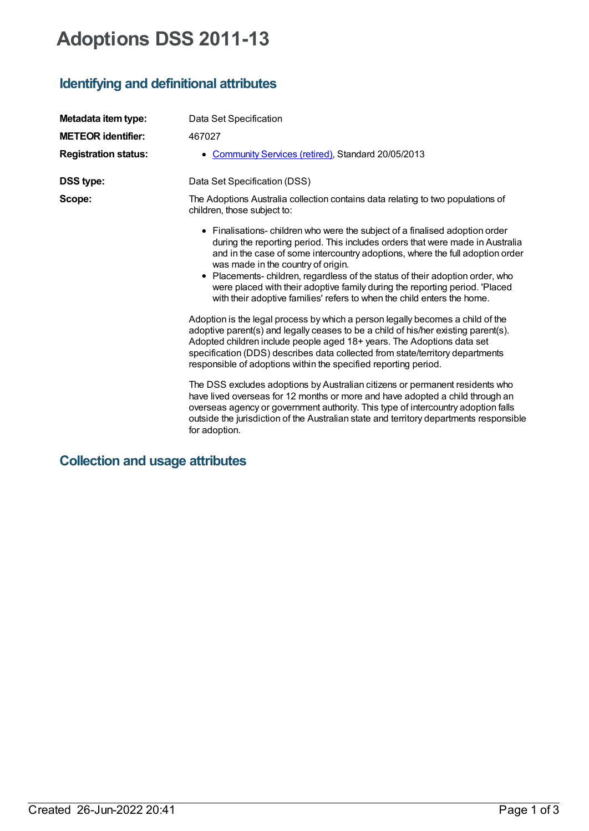# **Adoptions DSS 2011-13**

# **Identifying and definitional attributes**

| Metadata item type:         | Data Set Specification                                                                                                                                                                                                                                                                                                                                                                                                                                                                                                        |
|-----------------------------|-------------------------------------------------------------------------------------------------------------------------------------------------------------------------------------------------------------------------------------------------------------------------------------------------------------------------------------------------------------------------------------------------------------------------------------------------------------------------------------------------------------------------------|
| <b>METEOR identifier:</b>   | 467027                                                                                                                                                                                                                                                                                                                                                                                                                                                                                                                        |
| <b>Registration status:</b> | Community Services (retired), Standard 20/05/2013                                                                                                                                                                                                                                                                                                                                                                                                                                                                             |
| DSS type:                   | Data Set Specification (DSS)                                                                                                                                                                                                                                                                                                                                                                                                                                                                                                  |
| Scope:                      | The Adoptions Australia collection contains data relating to two populations of<br>children, those subject to:                                                                                                                                                                                                                                                                                                                                                                                                                |
|                             | • Finalisations-children who were the subject of a finalised adoption order<br>during the reporting period. This includes orders that were made in Australia<br>and in the case of some intercountry adoptions, where the full adoption order<br>was made in the country of origin.<br>• Placements-children, regardless of the status of their adoption order, who<br>were placed with their adoptive family during the reporting period. 'Placed<br>with their adoptive families' refers to when the child enters the home. |
|                             | Adoption is the legal process by which a person legally becomes a child of the<br>adoptive parent(s) and legally ceases to be a child of his/her existing parent(s).<br>Adopted children include people aged 18+ years. The Adoptions data set<br>specification (DDS) describes data collected from state/territory departments<br>responsible of adoptions within the specified reporting period.                                                                                                                            |
|                             | The DSS excludes adoptions by Australian citizens or permanent residents who<br>have lived overseas for 12 months or more and have adopted a child through an<br>overseas agency or government authority. This type of intercountry adoption falls<br>outside the jurisdiction of the Australian state and territory departments responsible<br>for adoption.                                                                                                                                                                 |

**Collection and usage attributes**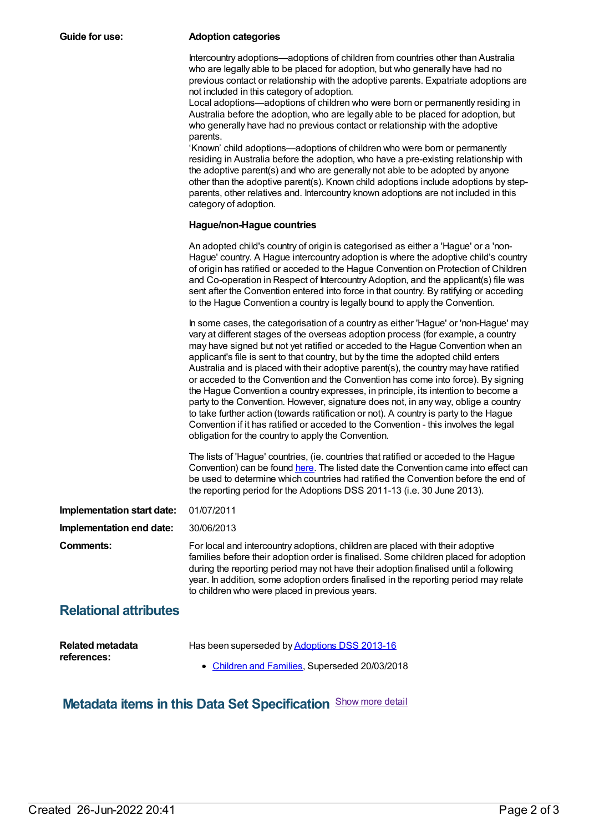#### **Guide for use: Adoption categories**

Intercountry adoptions—adoptions of children from countries other than Australia who are legally able to be placed for adoption, but who generally have had no previous contact or relationship with the adoptive parents. Expatriate adoptions are not included in this category of adoption.

Local adoptions—adoptions of children who were born or permanently residing in Australia before the adoption, who are legally able to be placed for adoption, but who generally have had no previous contact or relationship with the adoptive parents.

'Known' child adoptions—adoptions of children who were born or permanently residing in Australia before the adoption, who have a pre-existing relationship with the adoptive parent(s) and who are generally not able to be adopted by anyone other than the adoptive parent(s). Known child adoptions include adoptions by stepparents, other relatives and. Intercountry known adoptions are not included in this category of adoption.

#### **Hague/non-Hague countries**

|                              | An adopted child's country of origin is categorised as either a 'Hague' or a 'non-<br>Hague' country. A Hague intercountry adoption is where the adoptive child's country<br>of origin has ratified or acceded to the Hague Convention on Protection of Children<br>and Co-operation in Respect of Intercountry Adoption, and the applicant(s) file was                                                                                                                                                                                                                                                                                                                                                                                                                                                                                                                                                                                          |
|------------------------------|--------------------------------------------------------------------------------------------------------------------------------------------------------------------------------------------------------------------------------------------------------------------------------------------------------------------------------------------------------------------------------------------------------------------------------------------------------------------------------------------------------------------------------------------------------------------------------------------------------------------------------------------------------------------------------------------------------------------------------------------------------------------------------------------------------------------------------------------------------------------------------------------------------------------------------------------------|
|                              | sent after the Convention entered into force in that country. By ratifying or acceding<br>to the Hague Convention a country is legally bound to apply the Convention.                                                                                                                                                                                                                                                                                                                                                                                                                                                                                                                                                                                                                                                                                                                                                                            |
|                              | In some cases, the categorisation of a country as either 'Hague' or 'non-Hague' may<br>vary at different stages of the overseas adoption process (for example, a country<br>may have signed but not yet ratified or acceded to the Hague Convention when an<br>applicant's file is sent to that country, but by the time the adopted child enters<br>Australia and is placed with their adoptive parent(s), the country may have ratified<br>or acceded to the Convention and the Convention has come into force). By signing<br>the Hague Convention a country expresses, in principle, its intention to become a<br>party to the Convention. However, signature does not, in any way, oblige a country<br>to take further action (towards ratification or not). A country is party to the Hague<br>Convention if it has ratified or acceded to the Convention - this involves the legal<br>obligation for the country to apply the Convention. |
|                              | The lists of 'Hague' countries, (ie. countries that ratified or acceded to the Hague<br>Convention) can be found here. The listed date the Convention came into effect can<br>be used to determine which countries had ratified the Convention before the end of<br>the reporting period for the Adoptions DSS 2011-13 (i.e. 30 June 2013).                                                                                                                                                                                                                                                                                                                                                                                                                                                                                                                                                                                                      |
| Implementation start date:   | 01/07/2011                                                                                                                                                                                                                                                                                                                                                                                                                                                                                                                                                                                                                                                                                                                                                                                                                                                                                                                                       |
| Implementation end date:     | 30/06/2013                                                                                                                                                                                                                                                                                                                                                                                                                                                                                                                                                                                                                                                                                                                                                                                                                                                                                                                                       |
| <b>Comments:</b>             | For local and intercountry adoptions, children are placed with their adoptive<br>families before their adoption order is finalised. Some children placed for adoption<br>during the reporting period may not have their adoption finalised until a following<br>year. In addition, some adoption orders finalised in the reporting period may relate<br>to children who were placed in previous years.                                                                                                                                                                                                                                                                                                                                                                                                                                                                                                                                           |
| <b>Relational attributes</b> |                                                                                                                                                                                                                                                                                                                                                                                                                                                                                                                                                                                                                                                                                                                                                                                                                                                                                                                                                  |
| Related metadata             | Has been superseded by Adoptions DSS 2013-16                                                                                                                                                                                                                                                                                                                                                                                                                                                                                                                                                                                                                                                                                                                                                                                                                                                                                                     |

**references:**

- Has been superseded by **[Adoptions](https://meteor.aihw.gov.au/content/650865) DSS 2013-16** 
	- [Children](https://meteor.aihw.gov.au/RegistrationAuthority/17) and Families, Superseded 20/03/2018

### **Metadata items in this Data Set Specification** Show more detail